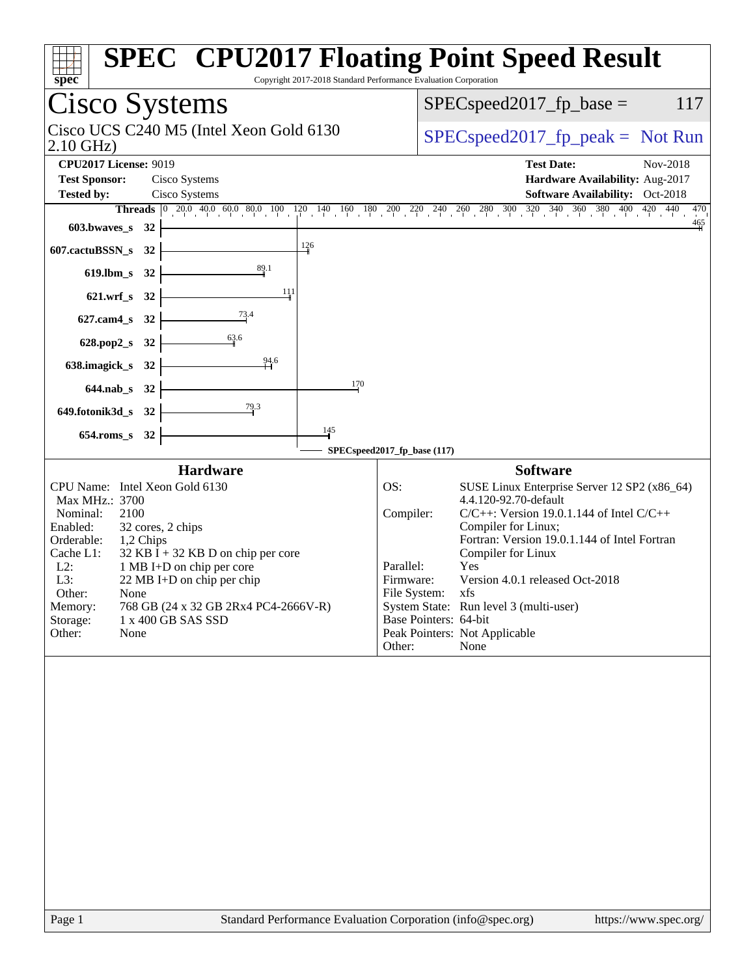| spec                                                                                                                                                                                                                                                                                                                                                                                                                                                                                                                                                                                                                                                                          | <b>SPEC<sup>®</sup> CPU2017 Floating Point Speed Result</b><br>Copyright 2017-2018 Standard Performance Evaluation Corporation                                                                                                                                                                                                                                                                                                                                                                                                                                                                                                                                                                                                |
|-------------------------------------------------------------------------------------------------------------------------------------------------------------------------------------------------------------------------------------------------------------------------------------------------------------------------------------------------------------------------------------------------------------------------------------------------------------------------------------------------------------------------------------------------------------------------------------------------------------------------------------------------------------------------------|-------------------------------------------------------------------------------------------------------------------------------------------------------------------------------------------------------------------------------------------------------------------------------------------------------------------------------------------------------------------------------------------------------------------------------------------------------------------------------------------------------------------------------------------------------------------------------------------------------------------------------------------------------------------------------------------------------------------------------|
| Cisco Systems                                                                                                                                                                                                                                                                                                                                                                                                                                                                                                                                                                                                                                                                 | $SPEC speed2017_fp\_base =$<br>117                                                                                                                                                                                                                                                                                                                                                                                                                                                                                                                                                                                                                                                                                            |
| Cisco UCS C240 M5 (Intel Xeon Gold 6130<br>$2.10$ GHz)                                                                                                                                                                                                                                                                                                                                                                                                                                                                                                                                                                                                                        | $SPEC speed2017rfp peak = Not Run$                                                                                                                                                                                                                                                                                                                                                                                                                                                                                                                                                                                                                                                                                            |
| <b>CPU2017 License: 9019</b><br><b>Test Sponsor:</b><br>Cisco Systems<br>Cisco Systems<br><b>Tested by:</b>                                                                                                                                                                                                                                                                                                                                                                                                                                                                                                                                                                   | <b>Test Date:</b><br>Nov-2018<br>Hardware Availability: Aug-2017<br><b>Software Availability:</b> Oct-2018                                                                                                                                                                                                                                                                                                                                                                                                                                                                                                                                                                                                                    |
| $603.bwaves$ $32$<br>126<br>607.cactuBSSN_s 32<br>$\frac{89.1}{4}$<br>619.lbm_s 32<br>111<br>621.wrf_s 32<br>627.cam4_s 32<br>63.6<br>628.pop2_s 32<br>94.6<br>638.imagick_s 32<br>170<br>644.nab s 32<br>79.3<br>649.fotonik3d_s 32<br>145<br>654.roms_s 32<br><b>Hardware</b><br>CPU Name: Intel Xeon Gold 6130<br>Max MHz.: 3700<br>Nominal:<br>2100<br>Enabled:<br>32 cores, 2 chips<br>Orderable:<br>1,2 Chips<br>Cache L1:<br>$32$ KB I + 32 KB D on chip per core<br>$L2$ :<br>1 MB I+D on chip per core<br>L3:<br>22 MB I+D on chip per chip<br>Other:<br>None<br>768 GB (24 x 32 GB 2Rx4 PC4-2666V-R)<br>Memory:<br>1 x 400 GB SAS SSD<br>Storage:<br>Other:<br>None | <b>Threads</b> $\begin{bmatrix} 0 & 20 & 0 & 40 & 0 & 60 & 80 & 100 & 120 & 140 & 160 & 180 & 200 & 220 & 240 & 260 & 280 & 300 & 320 & 340 & 360 & 380 & 400 & 420 & 440 \end{bmatrix}$<br>470<br>$\frac{465}{4}$<br>SPECspeed2017_fp_base (117)<br><b>Software</b><br>OS:<br>SUSE Linux Enterprise Server 12 SP2 (x86_64)<br>4.4.120-92.70-default<br>Compiler:<br>$C/C++$ : Version 19.0.1.144 of Intel $C/C++$<br>Compiler for Linux;<br>Fortran: Version 19.0.1.144 of Intel Fortran<br>Compiler for Linux<br>Parallel:<br>Yes<br>Version 4.0.1 released Oct-2018<br>Firmware:<br>File System: xfs<br>System State: Run level 3 (multi-user)<br>Base Pointers: 64-bit<br>Peak Pointers: Not Applicable<br>Other:<br>None |
|                                                                                                                                                                                                                                                                                                                                                                                                                                                                                                                                                                                                                                                                               |                                                                                                                                                                                                                                                                                                                                                                                                                                                                                                                                                                                                                                                                                                                               |
|                                                                                                                                                                                                                                                                                                                                                                                                                                                                                                                                                                                                                                                                               |                                                                                                                                                                                                                                                                                                                                                                                                                                                                                                                                                                                                                                                                                                                               |
| Page 1                                                                                                                                                                                                                                                                                                                                                                                                                                                                                                                                                                                                                                                                        | Standard Performance Evaluation Corporation (info@spec.org)<br>https://www.spec.org/                                                                                                                                                                                                                                                                                                                                                                                                                                                                                                                                                                                                                                          |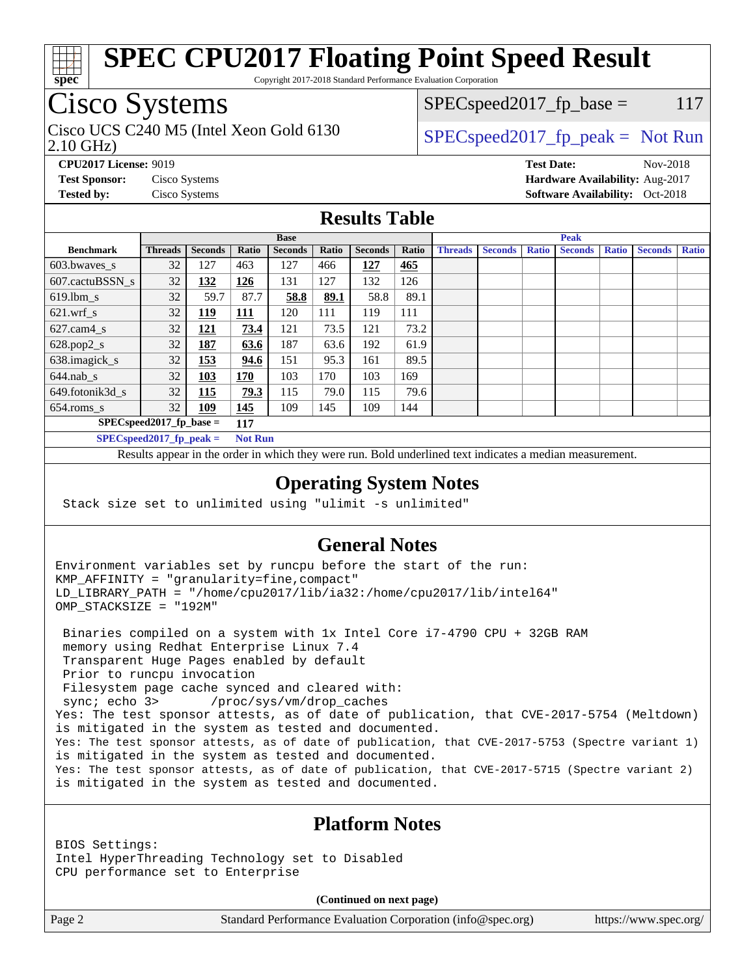

Copyright 2017-2018 Standard Performance Evaluation Corporation

## Cisco Systems

2.10 GHz) Cisco UCS C240 M5 (Intel Xeon Gold 6130  $SPECspeed2017_fp\_peak = Not Run$ 

 $SPEC speed2017_fp\_base = 117$ 

**[CPU2017 License:](http://www.spec.org/auto/cpu2017/Docs/result-fields.html#CPU2017License)** 9019 **[Test Date:](http://www.spec.org/auto/cpu2017/Docs/result-fields.html#TestDate)** Nov-2018 **[Test Sponsor:](http://www.spec.org/auto/cpu2017/Docs/result-fields.html#TestSponsor)** Cisco Systems **[Hardware Availability:](http://www.spec.org/auto/cpu2017/Docs/result-fields.html#HardwareAvailability)** Aug-2017 **[Tested by:](http://www.spec.org/auto/cpu2017/Docs/result-fields.html#Testedby)** Cisco Systems **Cisco Systems [Software Availability:](http://www.spec.org/auto/cpu2017/Docs/result-fields.html#SoftwareAvailability)** Oct-2018

### **[Results Table](http://www.spec.org/auto/cpu2017/Docs/result-fields.html#ResultsTable)**

|                                   | <b>Base</b>    |                |       |                |       | <b>Peak</b>    |       |                |                |              |                |              |                |              |
|-----------------------------------|----------------|----------------|-------|----------------|-------|----------------|-------|----------------|----------------|--------------|----------------|--------------|----------------|--------------|
| <b>Benchmark</b>                  | <b>Threads</b> | <b>Seconds</b> | Ratio | <b>Seconds</b> | Ratio | <b>Seconds</b> | Ratio | <b>Threads</b> | <b>Seconds</b> | <b>Ratio</b> | <b>Seconds</b> | <b>Ratio</b> | <b>Seconds</b> | <b>Ratio</b> |
| 603.bwayes_s                      | 32             | 127            | 463   | 127            | 466   | 127            | 465   |                |                |              |                |              |                |              |
| 607.cactuBSSN s                   | 32             | 132            | 126   | 131            | 127   | 132            | 126   |                |                |              |                |              |                |              |
| $619.$ lbm s                      | 32             | 59.7           | 87.7  | 58.8           | 89.1  | 58.8           | 89.1  |                |                |              |                |              |                |              |
| $621.wrf$ s                       | 32             | <u>119</u>     | 111   | 120            | 111   | 119            | 111   |                |                |              |                |              |                |              |
| $627$ .cam4 s                     | 32             | <u> 121</u>    | 73.4  | 121            | 73.5  | 121            | 73.2  |                |                |              |                |              |                |              |
| $628.pop2_s$                      | 32             | <u>187</u>     | 63.6  | 187            | 63.6  | 192            | 61.9  |                |                |              |                |              |                |              |
| 638.imagick_s                     | 32             | 153            | 94.6  | 151            | 95.3  | 161            | 89.5  |                |                |              |                |              |                |              |
| $644$ .nab s                      | 32             | <u>103</u>     | 170   | 103            | 170   | 103            | 169   |                |                |              |                |              |                |              |
| 649.fotonik3d s                   | 32             | 115            | 79.3  | 115            | 79.0  | 115            | 79.6  |                |                |              |                |              |                |              |
| $654$ .roms s                     | 32             | <b>109</b>     | 145   | 109            | 145   | 109            | 144   |                |                |              |                |              |                |              |
| $SPECspeed2017_fp\_base =$<br>117 |                |                |       |                |       |                |       |                |                |              |                |              |                |              |
| $SPEC speed2017fp peak =$         |                |                |       | <b>Not Run</b> |       |                |       |                |                |              |                |              |                |              |

Results appear in the [order in which they were run.](http://www.spec.org/auto/cpu2017/Docs/result-fields.html#RunOrder) Bold underlined text [indicates a median measurement](http://www.spec.org/auto/cpu2017/Docs/result-fields.html#Median).

### **[Operating System Notes](http://www.spec.org/auto/cpu2017/Docs/result-fields.html#OperatingSystemNotes)**

Stack size set to unlimited using "ulimit -s unlimited"

### **[General Notes](http://www.spec.org/auto/cpu2017/Docs/result-fields.html#GeneralNotes)**

Environment variables set by runcpu before the start of the run: KMP\_AFFINITY = "granularity=fine,compact" LD\_LIBRARY\_PATH = "/home/cpu2017/lib/ia32:/home/cpu2017/lib/intel64" OMP\_STACKSIZE = "192M"

 Binaries compiled on a system with 1x Intel Core i7-4790 CPU + 32GB RAM memory using Redhat Enterprise Linux 7.4 Transparent Huge Pages enabled by default Prior to runcpu invocation Filesystem page cache synced and cleared with: sync; echo 3> /proc/sys/vm/drop\_caches Yes: The test sponsor attests, as of date of publication, that CVE-2017-5754 (Meltdown) is mitigated in the system as tested and documented. Yes: The test sponsor attests, as of date of publication, that CVE-2017-5753 (Spectre variant 1) is mitigated in the system as tested and documented. Yes: The test sponsor attests, as of date of publication, that CVE-2017-5715 (Spectre variant 2) is mitigated in the system as tested and documented.

### **[Platform Notes](http://www.spec.org/auto/cpu2017/Docs/result-fields.html#PlatformNotes)**

BIOS Settings: Intel HyperThreading Technology set to Disabled CPU performance set to Enterprise

**(Continued on next page)**

Page 2 Standard Performance Evaluation Corporation [\(info@spec.org\)](mailto:info@spec.org) <https://www.spec.org/>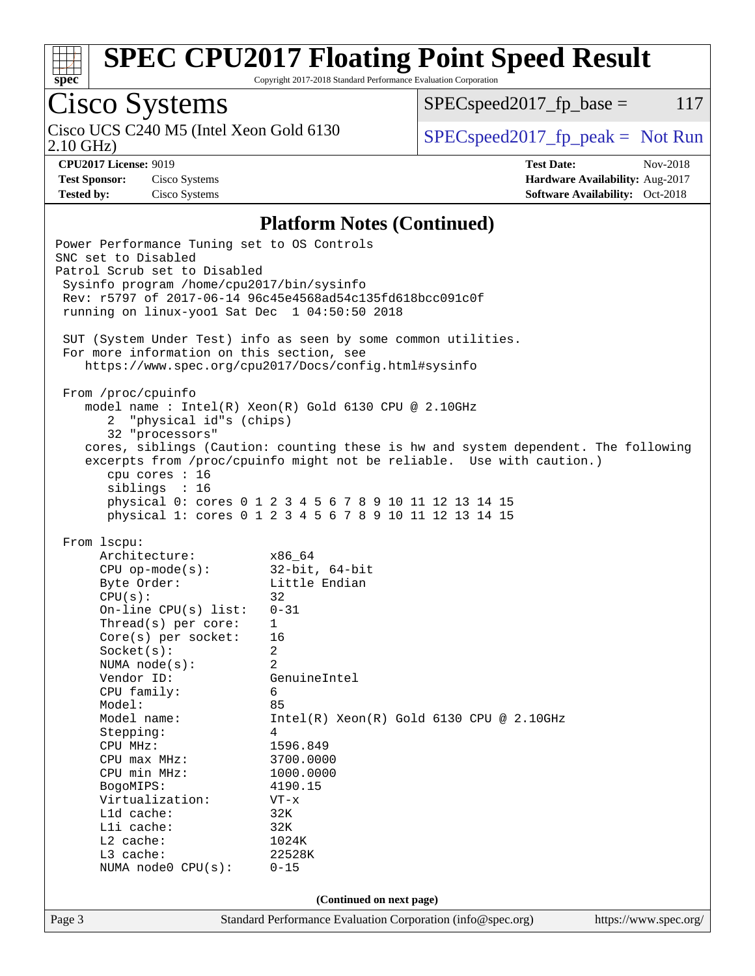

Copyright 2017-2018 Standard Performance Evaluation Corporation

Cisco Systems 2.10 GHz) Cisco UCS C240 M5 (Intel Xeon Gold 6130  $SPEC speed2017<sub>fp</sub> peak = Not Run$ 

 $SPEC speed2017_fp\_base = 117$ 

**[Test Sponsor:](http://www.spec.org/auto/cpu2017/Docs/result-fields.html#TestSponsor)** Cisco Systems **[Hardware Availability:](http://www.spec.org/auto/cpu2017/Docs/result-fields.html#HardwareAvailability)** Aug-2017

**[CPU2017 License:](http://www.spec.org/auto/cpu2017/Docs/result-fields.html#CPU2017License)** 9019 **[Test Date:](http://www.spec.org/auto/cpu2017/Docs/result-fields.html#TestDate)** Nov-2018 **[Tested by:](http://www.spec.org/auto/cpu2017/Docs/result-fields.html#Testedby)** Cisco Systems **[Software Availability:](http://www.spec.org/auto/cpu2017/Docs/result-fields.html#SoftwareAvailability)** Oct-2018

### **[Platform Notes \(Continued\)](http://www.spec.org/auto/cpu2017/Docs/result-fields.html#PlatformNotes)**

Page 3 Standard Performance Evaluation Corporation [\(info@spec.org\)](mailto:info@spec.org) <https://www.spec.org/> Power Performance Tuning set to OS Controls SNC set to Disabled Patrol Scrub set to Disabled Sysinfo program /home/cpu2017/bin/sysinfo Rev: r5797 of 2017-06-14 96c45e4568ad54c135fd618bcc091c0f running on linux-yoo1 Sat Dec 1 04:50:50 2018 SUT (System Under Test) info as seen by some common utilities. For more information on this section, see <https://www.spec.org/cpu2017/Docs/config.html#sysinfo> From /proc/cpuinfo model name : Intel(R) Xeon(R) Gold 6130 CPU @ 2.10GHz 2 "physical id"s (chips) 32 "processors" cores, siblings (Caution: counting these is hw and system dependent. The following excerpts from /proc/cpuinfo might not be reliable. Use with caution.) cpu cores : 16 siblings : 16 physical 0: cores 0 1 2 3 4 5 6 7 8 9 10 11 12 13 14 15 physical 1: cores 0 1 2 3 4 5 6 7 8 9 10 11 12 13 14 15 From lscpu: Architecture: x86\_64 CPU op-mode(s): 32-bit, 64-bit Byte Order: Little Endian  $CPU(s):$  32 On-line CPU(s) list: 0-31 Thread(s) per core: 1 Core(s) per socket: 16 Socket(s): 2 NUMA node(s): 2 Vendor ID: GenuineIntel CPU family: 6 Model: 85 Model name: Intel(R) Xeon(R) Gold 6130 CPU @ 2.10GHz Stepping: 4 CPU MHz: 1596.849 CPU max MHz: 3700.0000 CPU min MHz: 1000.0000 BogoMIPS: 4190.15 Virtualization: VT-x L1d cache: 32K L1i cache: 32K L2 cache: 1024K L3 cache: 22528K NUMA node0 CPU(s): 0-15 **(Continued on next page)**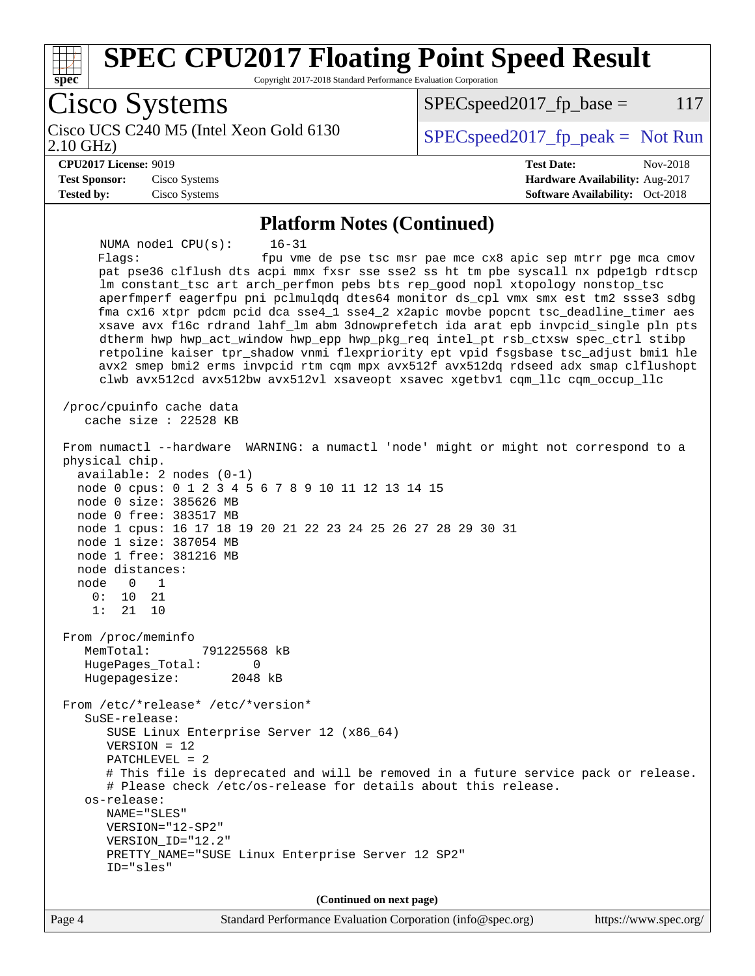

### **[Platform Notes \(Continued\)](http://www.spec.org/auto/cpu2017/Docs/result-fields.html#PlatformNotes)**

 NUMA node1 CPU(s): 16-31 Flags: fpu vme de pse tsc msr pae mce cx8 apic sep mtrr pge mca cmov pat pse36 clflush dts acpi mmx fxsr sse sse2 ss ht tm pbe syscall nx pdpe1gb rdtscp lm constant\_tsc art arch\_perfmon pebs bts rep\_good nopl xtopology nonstop\_tsc aperfmperf eagerfpu pni pclmulqdq dtes64 monitor ds\_cpl vmx smx est tm2 ssse3 sdbg fma cx16 xtpr pdcm pcid dca sse4\_1 sse4\_2 x2apic movbe popcnt tsc\_deadline\_timer aes xsave avx f16c rdrand lahf\_lm abm 3dnowprefetch ida arat epb invpcid\_single pln pts dtherm hwp hwp\_act\_window hwp\_epp hwp\_pkg\_req intel\_pt rsb\_ctxsw spec\_ctrl stibp retpoline kaiser tpr\_shadow vnmi flexpriority ept vpid fsgsbase tsc\_adjust bmi1 hle avx2 smep bmi2 erms invpcid rtm cqm mpx avx512f avx512dq rdseed adx smap clflushopt clwb avx512cd avx512bw avx512vl xsaveopt xsavec xgetbv1 cqm\_llc cqm\_occup\_llc /proc/cpuinfo cache data cache size : 22528 KB From numactl --hardware WARNING: a numactl 'node' might or might not correspond to a physical chip. available: 2 nodes (0-1) node 0 cpus: 0 1 2 3 4 5 6 7 8 9 10 11 12 13 14 15 node 0 size: 385626 MB node 0 free: 383517 MB node 1 cpus: 16 17 18 19 20 21 22 23 24 25 26 27 28 29 30 31 node 1 size: 387054 MB node 1 free: 381216 MB node distances: node 0 1 0: 10 21 1: 21 10 From /proc/meminfo MemTotal: 791225568 kB HugePages\_Total: 0 Hugepagesize: 2048 kB From /etc/\*release\* /etc/\*version\* SuSE-release: SUSE Linux Enterprise Server 12 (x86\_64) VERSION = 12 PATCHLEVEL = 2 # This file is deprecated and will be removed in a future service pack or release. # Please check /etc/os-release for details about this release. os-release: NAME="SLES" VERSION="12-SP2" VERSION\_ID="12.2" PRETTY\_NAME="SUSE Linux Enterprise Server 12 SP2" ID="sles" **(Continued on next page)**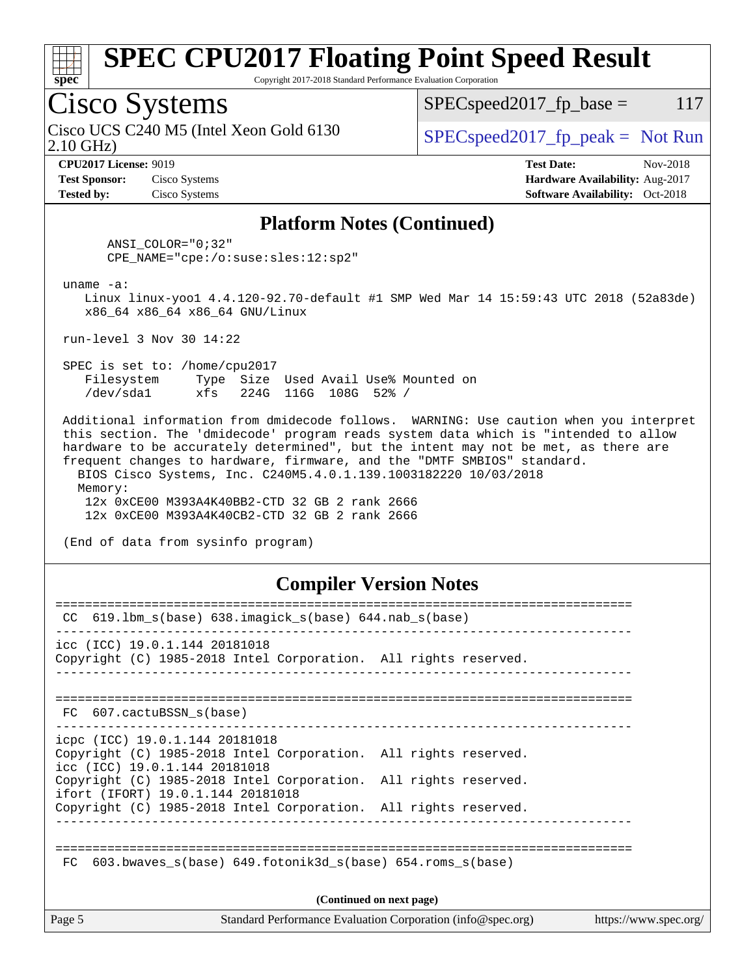

Copyright 2017-2018 Standard Performance Evaluation Corporation

## Cisco Systems

2.10 GHz) Cisco UCS C240 M5 (Intel Xeon Gold 6130  $SPECspeed2017_fp\_peak = Not Run$ 

 $SPEC speed2017_fp\_base = 117$ 

**[Test Sponsor:](http://www.spec.org/auto/cpu2017/Docs/result-fields.html#TestSponsor)** Cisco Systems **[Hardware Availability:](http://www.spec.org/auto/cpu2017/Docs/result-fields.html#HardwareAvailability)** Aug-2017 **[Tested by:](http://www.spec.org/auto/cpu2017/Docs/result-fields.html#Testedby)** Cisco Systems **Cisco Systems [Software Availability:](http://www.spec.org/auto/cpu2017/Docs/result-fields.html#SoftwareAvailability)** Oct-2018

**[CPU2017 License:](http://www.spec.org/auto/cpu2017/Docs/result-fields.html#CPU2017License)** 9019 **[Test Date:](http://www.spec.org/auto/cpu2017/Docs/result-fields.html#TestDate)** Nov-2018

### **[Platform Notes \(Continued\)](http://www.spec.org/auto/cpu2017/Docs/result-fields.html#PlatformNotes)**

 ANSI\_COLOR="0;32" CPE\_NAME="cpe:/o:suse:sles:12:sp2"

uname -a:

 Linux linux-yoo1 4.4.120-92.70-default #1 SMP Wed Mar 14 15:59:43 UTC 2018 (52a83de) x86\_64 x86\_64 x86\_64 GNU/Linux

run-level 3 Nov 30 14:22

 SPEC is set to: /home/cpu2017 Filesystem Type Size Used Avail Use% Mounted on /dev/sda1 xfs 224G 116G 108G 52% /

 Additional information from dmidecode follows. WARNING: Use caution when you interpret this section. The 'dmidecode' program reads system data which is "intended to allow hardware to be accurately determined", but the intent may not be met, as there are frequent changes to hardware, firmware, and the "DMTF SMBIOS" standard. BIOS Cisco Systems, Inc. C240M5.4.0.1.139.1003182220 10/03/2018 Memory:

 12x 0xCE00 M393A4K40BB2-CTD 32 GB 2 rank 2666 12x 0xCE00 M393A4K40CB2-CTD 32 GB 2 rank 2666

(End of data from sysinfo program)

### **[Compiler Version Notes](http://www.spec.org/auto/cpu2017/Docs/result-fields.html#CompilerVersionNotes)**

| CC.         | $619.1$ bm_s(base) $638.imagick_s(base)$ $644.nab_s(base)$                                                                         |                                                             |                       |
|-------------|------------------------------------------------------------------------------------------------------------------------------------|-------------------------------------------------------------|-----------------------|
|             | icc (ICC) 19.0.1.144 20181018<br>Copyright (C) 1985-2018 Intel Corporation. All rights reserved.                                   |                                                             |                       |
|             | FC 607.cactuBSSN s(base)                                                                                                           |                                                             |                       |
|             | icpc (ICC) 19.0.1.144 20181018<br>Copyright (C) 1985-2018 Intel Corporation. All rights reserved.<br>icc (ICC) 19.0.1.144 20181018 |                                                             |                       |
|             | Copyright (C) 1985-2018 Intel Corporation. All rights reserved.<br>ifort (IFORT) 19.0.1.144 20181018                               |                                                             |                       |
|             | Copyright (C) 1985-2018 Intel Corporation. All rights reserved.                                                                    |                                                             |                       |
| $_{\rm FC}$ | 603.bwaves $s(base)$ 649.fotonik3d $s(base)$ 654.roms $s(base)$                                                                    | (Continued on next page)                                    |                       |
| Page 5      |                                                                                                                                    | Standard Performance Evaluation Corporation (info@spec.org) | https://www.spec.org/ |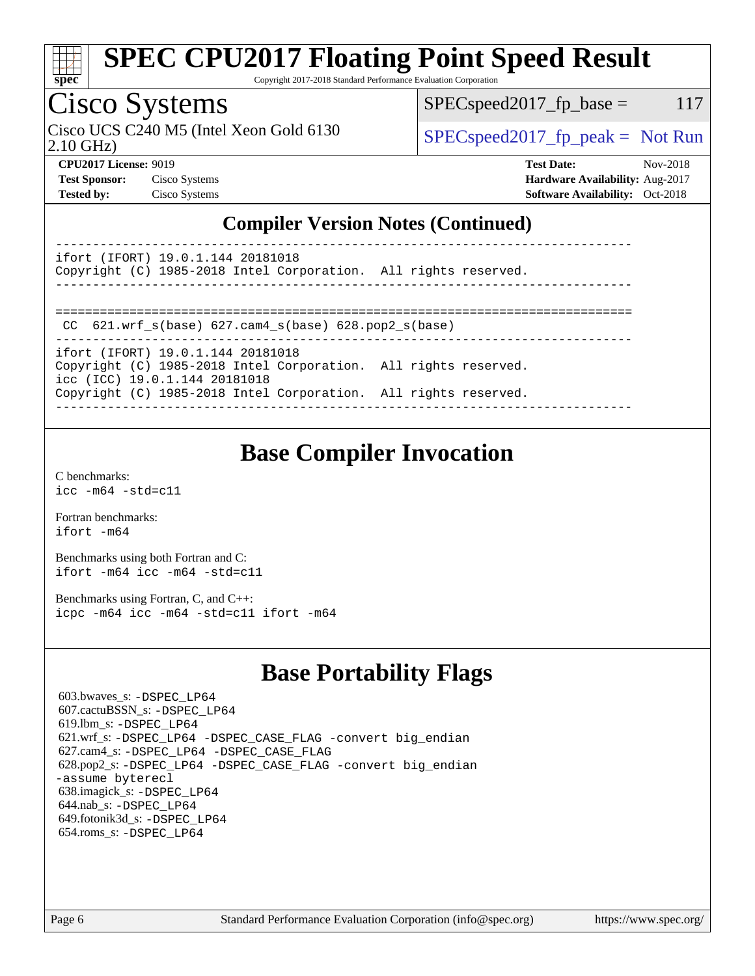

Copyright 2017-2018 Standard Performance Evaluation Corporation

## Cisco Systems

Cisco UCS C240 M5 (Intel Xeon Gold 6130  $SPEC speed2017<sub>fp</sub> peak = Not Run$ 

 $SPEC speed2017_fp\_base = 117$ 

2.10 GHz)

**[CPU2017 License:](http://www.spec.org/auto/cpu2017/Docs/result-fields.html#CPU2017License)** 9019 **[Test Date:](http://www.spec.org/auto/cpu2017/Docs/result-fields.html#TestDate)** Nov-2018 **[Test Sponsor:](http://www.spec.org/auto/cpu2017/Docs/result-fields.html#TestSponsor)** Cisco Systems **[Hardware Availability:](http://www.spec.org/auto/cpu2017/Docs/result-fields.html#HardwareAvailability)** Aug-2017 **[Tested by:](http://www.spec.org/auto/cpu2017/Docs/result-fields.html#Testedby)** Cisco Systems **[Software Availability:](http://www.spec.org/auto/cpu2017/Docs/result-fields.html#SoftwareAvailability)** Oct-2018

### **[Compiler Version Notes \(Continued\)](http://www.spec.org/auto/cpu2017/Docs/result-fields.html#CompilerVersionNotes)**

----------------------------------------------------------------------------- ifort (IFORT) 19.0.1.144 20181018

Copyright (C) 1985-2018 Intel Corporation. All rights reserved. ------------------------------------------------------------------------------

==============================================================================

CC 621.wrf\_s(base) 627.cam4\_s(base) 628.pop2\_s(base)

----------------------------------------------------------------------------- ifort (IFORT) 19.0.1.144 20181018 Copyright (C) 1985-2018 Intel Corporation. All rights reserved. icc (ICC) 19.0.1.144 20181018 Copyright (C) 1985-2018 Intel Corporation. All rights reserved.

------------------------------------------------------------------------------

## **[Base Compiler Invocation](http://www.spec.org/auto/cpu2017/Docs/result-fields.html#BaseCompilerInvocation)**

[C benchmarks](http://www.spec.org/auto/cpu2017/Docs/result-fields.html#Cbenchmarks): [icc -m64 -std=c11](http://www.spec.org/cpu2017/results/res2018q4/cpu2017-20181211-10243.flags.html#user_CCbase_intel_icc_64bit_c11_33ee0cdaae7deeeab2a9725423ba97205ce30f63b9926c2519791662299b76a0318f32ddfffdc46587804de3178b4f9328c46fa7c2b0cd779d7a61945c91cd35)

[Fortran benchmarks](http://www.spec.org/auto/cpu2017/Docs/result-fields.html#Fortranbenchmarks): [ifort -m64](http://www.spec.org/cpu2017/results/res2018q4/cpu2017-20181211-10243.flags.html#user_FCbase_intel_ifort_64bit_24f2bb282fbaeffd6157abe4f878425411749daecae9a33200eee2bee2fe76f3b89351d69a8130dd5949958ce389cf37ff59a95e7a40d588e8d3a57e0c3fd751)

[Benchmarks using both Fortran and C](http://www.spec.org/auto/cpu2017/Docs/result-fields.html#BenchmarksusingbothFortranandC): [ifort -m64](http://www.spec.org/cpu2017/results/res2018q4/cpu2017-20181211-10243.flags.html#user_CC_FCbase_intel_ifort_64bit_24f2bb282fbaeffd6157abe4f878425411749daecae9a33200eee2bee2fe76f3b89351d69a8130dd5949958ce389cf37ff59a95e7a40d588e8d3a57e0c3fd751) [icc -m64 -std=c11](http://www.spec.org/cpu2017/results/res2018q4/cpu2017-20181211-10243.flags.html#user_CC_FCbase_intel_icc_64bit_c11_33ee0cdaae7deeeab2a9725423ba97205ce30f63b9926c2519791662299b76a0318f32ddfffdc46587804de3178b4f9328c46fa7c2b0cd779d7a61945c91cd35)

[Benchmarks using Fortran, C, and C++:](http://www.spec.org/auto/cpu2017/Docs/result-fields.html#BenchmarksusingFortranCandCXX) [icpc -m64](http://www.spec.org/cpu2017/results/res2018q4/cpu2017-20181211-10243.flags.html#user_CC_CXX_FCbase_intel_icpc_64bit_4ecb2543ae3f1412ef961e0650ca070fec7b7afdcd6ed48761b84423119d1bf6bdf5cad15b44d48e7256388bc77273b966e5eb805aefd121eb22e9299b2ec9d9) [icc -m64 -std=c11](http://www.spec.org/cpu2017/results/res2018q4/cpu2017-20181211-10243.flags.html#user_CC_CXX_FCbase_intel_icc_64bit_c11_33ee0cdaae7deeeab2a9725423ba97205ce30f63b9926c2519791662299b76a0318f32ddfffdc46587804de3178b4f9328c46fa7c2b0cd779d7a61945c91cd35) [ifort -m64](http://www.spec.org/cpu2017/results/res2018q4/cpu2017-20181211-10243.flags.html#user_CC_CXX_FCbase_intel_ifort_64bit_24f2bb282fbaeffd6157abe4f878425411749daecae9a33200eee2bee2fe76f3b89351d69a8130dd5949958ce389cf37ff59a95e7a40d588e8d3a57e0c3fd751)

## **[Base Portability Flags](http://www.spec.org/auto/cpu2017/Docs/result-fields.html#BasePortabilityFlags)**

 603.bwaves\_s: [-DSPEC\\_LP64](http://www.spec.org/cpu2017/results/res2018q4/cpu2017-20181211-10243.flags.html#suite_basePORTABILITY603_bwaves_s_DSPEC_LP64) 607.cactuBSSN\_s: [-DSPEC\\_LP64](http://www.spec.org/cpu2017/results/res2018q4/cpu2017-20181211-10243.flags.html#suite_basePORTABILITY607_cactuBSSN_s_DSPEC_LP64) 619.lbm\_s: [-DSPEC\\_LP64](http://www.spec.org/cpu2017/results/res2018q4/cpu2017-20181211-10243.flags.html#suite_basePORTABILITY619_lbm_s_DSPEC_LP64) 621.wrf\_s: [-DSPEC\\_LP64](http://www.spec.org/cpu2017/results/res2018q4/cpu2017-20181211-10243.flags.html#suite_basePORTABILITY621_wrf_s_DSPEC_LP64) [-DSPEC\\_CASE\\_FLAG](http://www.spec.org/cpu2017/results/res2018q4/cpu2017-20181211-10243.flags.html#b621.wrf_s_baseCPORTABILITY_DSPEC_CASE_FLAG) [-convert big\\_endian](http://www.spec.org/cpu2017/results/res2018q4/cpu2017-20181211-10243.flags.html#user_baseFPORTABILITY621_wrf_s_convert_big_endian_c3194028bc08c63ac5d04de18c48ce6d347e4e562e8892b8bdbdc0214820426deb8554edfa529a3fb25a586e65a3d812c835984020483e7e73212c4d31a38223) 627.cam4\_s: [-DSPEC\\_LP64](http://www.spec.org/cpu2017/results/res2018q4/cpu2017-20181211-10243.flags.html#suite_basePORTABILITY627_cam4_s_DSPEC_LP64) [-DSPEC\\_CASE\\_FLAG](http://www.spec.org/cpu2017/results/res2018q4/cpu2017-20181211-10243.flags.html#b627.cam4_s_baseCPORTABILITY_DSPEC_CASE_FLAG) 628.pop2\_s: [-DSPEC\\_LP64](http://www.spec.org/cpu2017/results/res2018q4/cpu2017-20181211-10243.flags.html#suite_basePORTABILITY628_pop2_s_DSPEC_LP64) [-DSPEC\\_CASE\\_FLAG](http://www.spec.org/cpu2017/results/res2018q4/cpu2017-20181211-10243.flags.html#b628.pop2_s_baseCPORTABILITY_DSPEC_CASE_FLAG) [-convert big\\_endian](http://www.spec.org/cpu2017/results/res2018q4/cpu2017-20181211-10243.flags.html#user_baseFPORTABILITY628_pop2_s_convert_big_endian_c3194028bc08c63ac5d04de18c48ce6d347e4e562e8892b8bdbdc0214820426deb8554edfa529a3fb25a586e65a3d812c835984020483e7e73212c4d31a38223) [-assume byterecl](http://www.spec.org/cpu2017/results/res2018q4/cpu2017-20181211-10243.flags.html#user_baseFPORTABILITY628_pop2_s_assume_byterecl_7e47d18b9513cf18525430bbf0f2177aa9bf368bc7a059c09b2c06a34b53bd3447c950d3f8d6c70e3faf3a05c8557d66a5798b567902e8849adc142926523472) 638.imagick\_s: [-DSPEC\\_LP64](http://www.spec.org/cpu2017/results/res2018q4/cpu2017-20181211-10243.flags.html#suite_basePORTABILITY638_imagick_s_DSPEC_LP64) 644.nab\_s: [-DSPEC\\_LP64](http://www.spec.org/cpu2017/results/res2018q4/cpu2017-20181211-10243.flags.html#suite_basePORTABILITY644_nab_s_DSPEC_LP64) 649.fotonik3d\_s: [-DSPEC\\_LP64](http://www.spec.org/cpu2017/results/res2018q4/cpu2017-20181211-10243.flags.html#suite_basePORTABILITY649_fotonik3d_s_DSPEC_LP64) 654.roms\_s: [-DSPEC\\_LP64](http://www.spec.org/cpu2017/results/res2018q4/cpu2017-20181211-10243.flags.html#suite_basePORTABILITY654_roms_s_DSPEC_LP64)